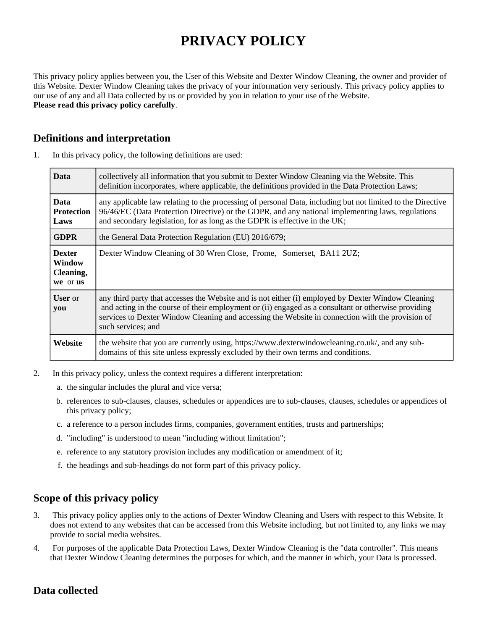# **PRIVACY POLICY**

This privacy policy applies between you, the User of this Website and Dexter Window Cleaning, the owner and provider of this Website. Dexter Window Cleaning takes the privacy of your information very seriously. This privacy policy applies to our use of any and all Data collected by us or provided by you in relation to your use of the Website. **Please read this privacy policy carefully**.

# **Definitions and interpretation**

| <b>Data</b>                                      | collectively all information that you submit to Dexter Window Cleaning via the Website. This<br>definition incorporates, where applicable, the definitions provided in the Data Protection Laws;                                                                                                                                    |
|--------------------------------------------------|-------------------------------------------------------------------------------------------------------------------------------------------------------------------------------------------------------------------------------------------------------------------------------------------------------------------------------------|
| <b>Data</b><br><b>Protection</b><br>Laws         | any applicable law relating to the processing of personal Data, including but not limited to the Directive<br>96/46/EC (Data Protection Directive) or the GDPR, and any national implementing laws, regulations<br>and secondary legislation, for as long as the GDPR is effective in the UK;                                       |
| <b>GDPR</b>                                      | the General Data Protection Regulation (EU) 2016/679;                                                                                                                                                                                                                                                                               |
| <b>Dexter</b><br>Window<br>Cleaning,<br>we or us | Dexter Window Cleaning of 30 Wren Close, Frome, Somerset, BA11 2UZ;                                                                                                                                                                                                                                                                 |
| <b>User</b> or<br>you                            | any third party that accesses the Website and is not either (i) employed by Dexter Window Cleaning<br>and acting in the course of their employment or (ii) engaged as a consultant or otherwise providing<br>services to Dexter Window Cleaning and accessing the Website in connection with the provision of<br>such services; and |
| Website                                          | the website that you are currently using, https://www.dexterwindowcleaning.co.uk/, and any sub-<br>domains of this site unless expressly excluded by their own terms and conditions.                                                                                                                                                |

1. In this privacy policy, the following definitions are used:

- 2. In this privacy policy, unless the context requires a different interpretation:
	- a. the singular includes the plural and vice versa;
	- b. references to sub-clauses, clauses, schedules or appendices are to sub-clauses, clauses, schedules or appendices of this privacy policy;
	- c. a reference to a person includes firms, companies, government entities, trusts and partnerships;
	- d. "including" is understood to mean "including without limitation";
	- e. reference to any statutory provision includes any modification or amendment of it;
	- f. the headings and sub-headings do not form part of this privacy policy.

# **Scope of this privacy policy**

- 3. This privacy policy applies only to the actions of Dexter Window Cleaning and Users with respect to this Website. It does not extend to any websites that can be accessed from this Website including, but not limited to, any links we may provide to social media websites.
- 4. For purposes of the applicable Data Protection Laws, Dexter Window Cleaning is the "data controller". This means that Dexter Window Cleaning determines the purposes for which, and the manner in which, your Data is processed.

# **Data collected**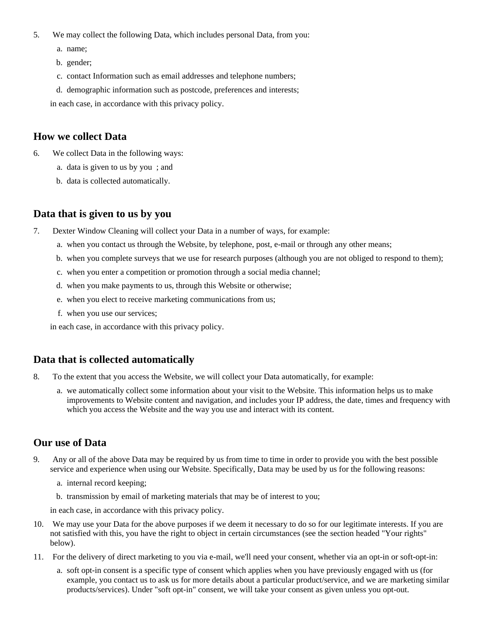- 5. We may collect the following Data, which includes personal Data, from you:
	- a. name;
	- b. gender;
	- c. contact Information such as email addresses and telephone numbers;
	- d. demographic information such as postcode, preferences and interests;

in each case, in accordance with this privacy policy.

#### **How we collect Data**

- 6. We collect Data in the following ways:
	- a. data is given to us by you ; and
	- b. data is collected automatically.

#### **Data that is given to us by you**

- 7. Dexter Window Cleaning will collect your Data in a number of ways, for example:
	- a. when you contact us through the Website, by telephone, post, e-mail or through any other means;
	- b. when you complete surveys that we use for research purposes (although you are not obliged to respond to them);
	- c. when you enter a competition or promotion through a social media channel;
	- d. when you make payments to us, through this Website or otherwise;
	- e. when you elect to receive marketing communications from us;
	- f. when you use our services;

in each case, in accordance with this privacy policy.

#### **Data that is collected automatically**

- 8. To the extent that you access the Website, we will collect your Data automatically, for example:
	- a. we automatically collect some information about your visit to the Website. This information helps us to make improvements to Website content and navigation, and includes your IP address, the date, times and frequency with which you access the Website and the way you use and interact with its content.

#### **Our use of Data**

- 9. Any or all of the above Data may be required by us from time to time in order to provide you with the best possible service and experience when using our Website. Specifically, Data may be used by us for the following reasons:
	- a. internal record keeping;
	- b. transmission by email of marketing materials that may be of interest to you;

in each case, in accordance with this privacy policy.

- 10. We may use your Data for the above purposes if we deem it necessary to do so for our legitimate interests. If you are not satisfied with this, you have the right to object in certain circumstances (see the section headed "Your rights" below).
- 11. For the delivery of direct marketing to you via e-mail, we'll need your consent, whether via an opt-in or soft-opt-in:
	- a. soft opt-in consent is a specific type of consent which applies when you have previously engaged with us (for example, you contact us to ask us for more details about a particular product/service, and we are marketing similar products/services). Under "soft opt-in" consent, we will take your consent as given unless you opt-out.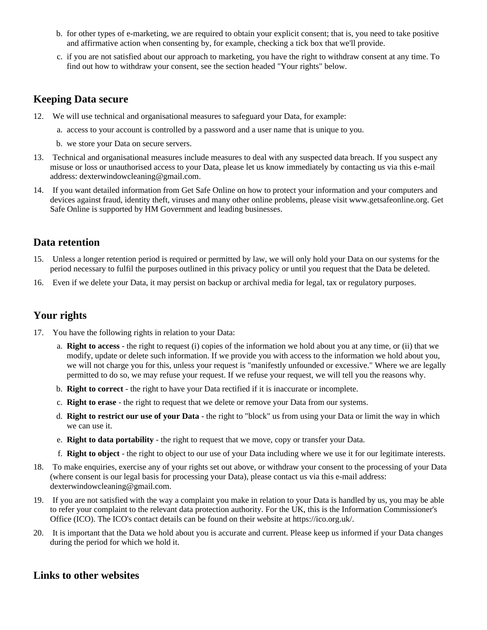- b. for other types of e-marketing, we are required to obtain your explicit consent; that is, you need to take positive and affirmative action when consenting by, for example, checking a tick box that we'll provide.
- c. if you are not satisfied about our approach to marketing, you have the right to withdraw consent at any time. To find out how to withdraw your consent, see the section headed "Your rights" below.

## **Keeping Data secure**

- 12. We will use technical and organisational measures to safeguard your Data, for example:
	- a. access to your account is controlled by a password and a user name that is unique to you.
	- b. we store your Data on secure servers.
- 13. Technical and organisational measures include measures to deal with any suspected data breach. If you suspect any misuse or loss or unauthorised access to your Data, please let us know immediately by contacting us via this e-mail address: dexterwindowcleaning@gmail.com.
- 14. If you want detailed information from Get Safe Online on how to protect your information and your computers and devices against fraud, identity theft, viruses and many other online problems, please visit www.getsafeonline.org. Get Safe Online is supported by HM Government and leading businesses.

## **Data retention**

- 15. Unless a longer retention period is required or permitted by law, we will only hold your Data on our systems for the period necessary to fulfil the purposes outlined in this privacy policy or until you request that the Data be deleted.
- 16. Even if we delete your Data, it may persist on backup or archival media for legal, tax or regulatory purposes.

# **Your rights**

- 17. You have the following rights in relation to your Data:
	- a. **Right to access** the right to request (i) copies of the information we hold about you at any time, or (ii) that we modify, update or delete such information. If we provide you with access to the information we hold about you, we will not charge you for this, unless your request is "manifestly unfounded or excessive." Where we are legally permitted to do so, we may refuse your request. If we refuse your request, we will tell you the reasons why.
	- b. **Right to correct** the right to have your Data rectified if it is inaccurate or incomplete.
	- c. **Right to erase** the right to request that we delete or remove your Data from our systems.
	- d. **Right to restrict our use of your Data** the right to "block" us from using your Data or limit the way in which we can use it.
	- e. **Right to data portability** the right to request that we move, copy or transfer your Data.
	- f. **Right to object** the right to object to our use of your Data including where we use it for our legitimate interests.
- 18. To make enquiries, exercise any of your rights set out above, or withdraw your consent to the processing of your Data (where consent is our legal basis for processing your Data), please contact us via this e-mail address: dexterwindowcleaning@gmail.com.
- 19. If you are not satisfied with the way a complaint you make in relation to your Data is handled by us, you may be able to refer your complaint to the relevant data protection authority. For the UK, this is the Information Commissioner's Office (ICO). The ICO's contact details can be found on their website at https://ico.org.uk/.
- 20. It is important that the Data we hold about you is accurate and current. Please keep us informed if your Data changes during the period for which we hold it.

# **Links to other websites**